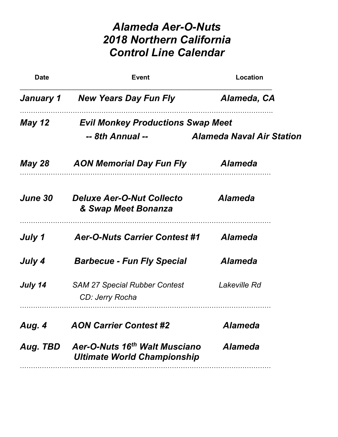## Alameda Aer-O-Nuts 2018 Northern California Control Line Calendar

| <b>Date</b>                                        | <b>Event</b>                                                                    | Location                         |
|----------------------------------------------------|---------------------------------------------------------------------------------|----------------------------------|
| January 1                                          | New Years Day Fun Fly                                                           | Alameda, CA                      |
| May 12<br><b>Evil Monkey Productions Swap Meet</b> |                                                                                 |                                  |
|                                                    | -- 8th Annual --                                                                | <b>Alameda Naval Air Station</b> |
| <b>May 28</b>                                      | <b>AON Memorial Day Fun Fly</b>                                                 | <b>Alameda</b>                   |
| <i><b>June 30</b></i>                              | <b>Deluxe Aer-O-Nut Collecto</b><br>& Swap Meet Bonanza                         | <b>Alameda</b>                   |
| July 1                                             | <b>Aer-O-Nuts Carrier Contest #1</b>                                            | <b>Alameda</b>                   |
| July 4                                             | <b>Barbecue - Fun Fly Special</b>                                               | <b>Alameda</b>                   |
| July 14                                            | <b>SAM 27 Special Rubber Contest</b><br>CD: Jerry Rocha                         | Lakeville Rd                     |
| Aug. 4                                             | <b>AON Carrier Contest #2</b>                                                   | <b>Alameda</b>                   |
| Aug. TBD                                           | Aer-O-Nuts 16 <sup>th</sup> Walt Musciano<br><b>Ultimate World Championship</b> | <b>Alameda</b>                   |